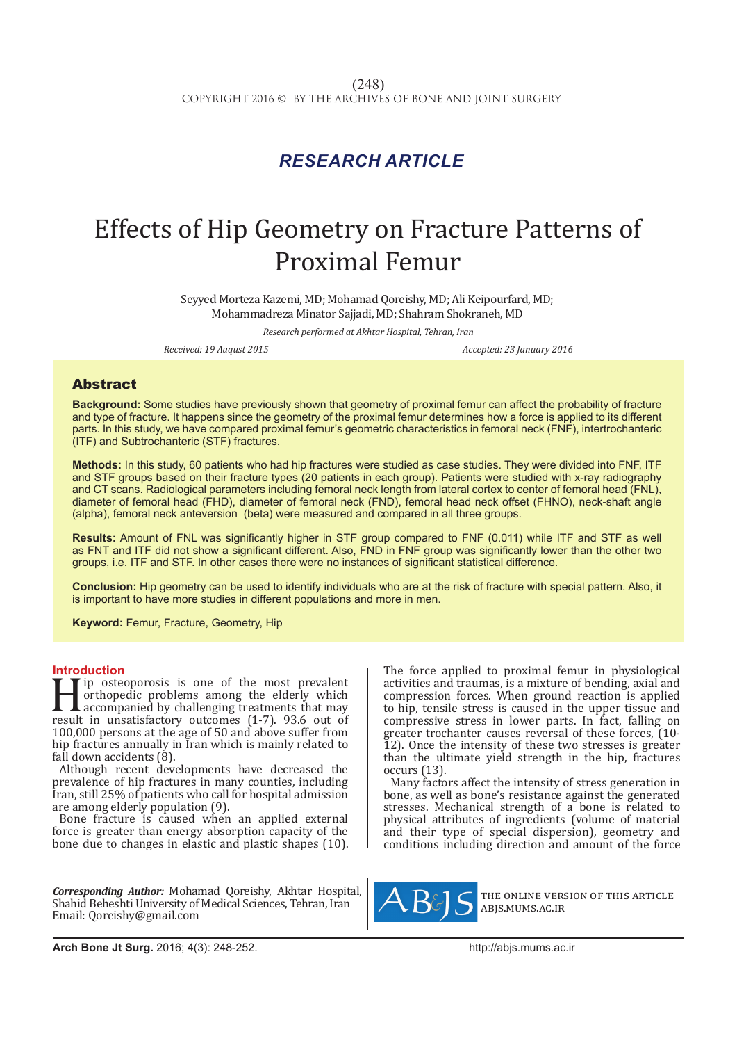## *RESEARCH ARTICLE*

# Effects of Hip Geometry on Fracture Patterns of Proximal Femur

Seyyed Morteza Kazemi, MD; Mohamad Qoreishy, MD; Ali Keipourfard, MD; Mohammadreza Minator Sajjadi, MD; Shahram Shokraneh, MD

*Research performed at Akhtar Hospital, Tehran, Iran* 

*Received: 19 Auqust 2015 Accepted: 23 January 2016*

#### Abstract

**Background:** Some studies have previously shown that geometry of proximal femur can affect the probability of fracture and type of fracture. It happens since the geometry of the proximal femur determines how a force is applied to its different parts. In this study, we have compared proximal femur's geometric characteristics in femoral neck (FNF), intertrochanteric (ITF) and Subtrochanteric (STF) fractures.

**Methods:** In this study, 60 patients who had hip fractures were studied as case studies. They were divided into FNF, ITF and STF groups based on their fracture types (20 patients in each group). Patients were studied with x-ray radiography and CT scans. Radiological parameters including femoral neck length from lateral cortex to center of femoral head (FNL), diameter of femoral head (FHD), diameter of femoral neck (FND), femoral head neck offset (FHNO), neck-shaft angle (alpha), femoral neck anteversion (beta) were measured and compared in all three groups.

**Results:** Amount of FNL was significantly higher in STF group compared to FNF (0.011) while ITF and STF as well as FNT and ITF did not show a significant different. Also, FND in FNF group was significantly lower than the other two groups, i.e. ITF and STF. In other cases there were no instances of significant statistical difference.

**Conclusion:** Hip geometry can be used to identify individuals who are at the risk of fracture with special pattern. Also, it is important to have more studies in different populations and more in men.

**Keyword:** Femur, Fracture, Geometry, Hip

**Introduction**<br>**T I** ip osteoporosis is one of the most prevalent If the most prevalent<br>
orthopedic problems among the elderly which<br>
accompanied by challenging treatments that may<br>
result in unsatisfactory outcomes (1-7). 93.6 out of<br>
100.000 persons at the age of 50 and above suffer fr orthopedic problems among the elderly which accompanied by challenging treatments that may 100,000 persons at the age of 50 and above suffer from hip fractures annually in Iran which is mainly related to fall down accidents (8).

Although recent developments have decreased the prevalence of hip fractures in many counties, including Iran, still 25% of patients who call for hospital admission are among elderly population (9).

Bone fracture is caused when an applied external force is greater than energy absorption capacity of the bone due to changes in elastic and plastic shapes (10).

*Corresponding Author:* Mohamad Qoreishy, Akhtar Hospital, Shahid Beheshti University of Medical Sciences, Tehran, Iran Email: Qoreishy@gmail.com

The force applied to proximal femur in physiological activities and traumas, is a mixture of bending, axial and compression forces. When ground reaction is applied to hip, tensile stress is caused in the upper tissue and compressive stress in lower parts. In fact, falling on greater trochanter causes reversal of these forces, (10- 12). Once the intensity of these two stresses is greater than the ultimate yield strength in the hip, fractures occurs (13).

Many factors affect the intensity of stress generation in bone, as well as bone's resistance against the generated stresses. Mechanical strength of a bone is related to physical attributes of ingredients (volume of material and their type of special dispersion), geometry and conditions including direction and amount of the force



the online version of this article abjs.mums.ac.ir

**Arch Bone Jt Surg.** 2016; 4(3): 248-252.http://abjs.mums.ac.ir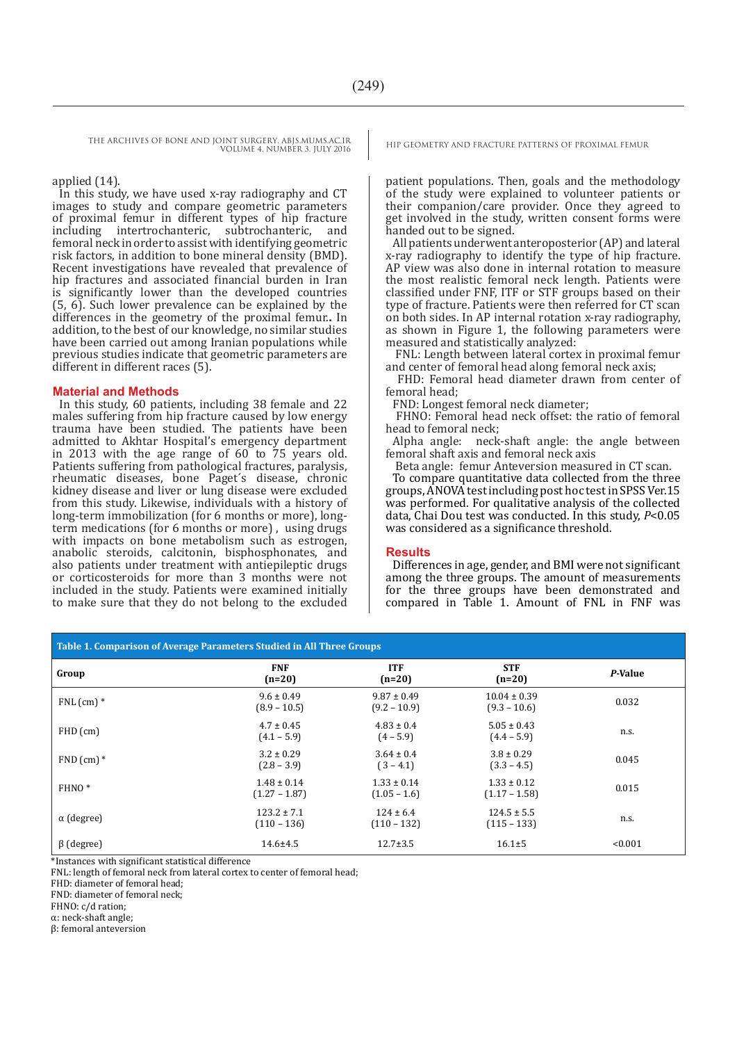THE ARCHIVES OF BONE AND JOINT SURGERY. ABJS.MUMS.AC.IR HIP GEOMETRY AND FRACTURE PATTERNS OF PROXIMAL FEMUR VOLUME 4. NUMBER 3. JULY 2016

applied (14).

In this study, we have used x-ray radiography and CT images to study and compare geometric parameters of proximal femur in different types of hip fracture intertrochanteric, subtrochanteric, and femoral neck in order to assist with identifying geometric risk factors, in addition to bone mineral density (BMD). Recent investigations have revealed that prevalence of hip fractures and associated financial burden in Iran is significantly lower than the developed countries (5, 6). Such lower prevalence can be explained by the differences in the geometry of the proximal femur.**.** In addition, to the best of our knowledge, no similar studies have been carried out among Iranian populations while previous studies indicate that geometric parameters are different in different races (5).

#### **Material and Methods**

In this study, 60 patients, including 38 female and 22 males suffering from hip fracture caused by low energy trauma have been studied. The patients have been admitted to Akhtar Hospital's emergency department in 2013 with the age range of 60 to 75 years old. Patients suffering from pathological fractures, paralysis, rheumatic diseases, bone Paget´s disease, chronic kidney disease and liver or lung disease were excluded from this study. Likewise, individuals with a history of long-term immobilization (for 6 months or more), longterm medications (for 6 months or more) , using drugs with impacts on bone metabolism such as estrogen, anabolic steroids, calcitonin, bisphosphonates, and also patients under treatment with antiepileptic drugs or corticosteroids for more than 3 months were not included in the study. Patients were examined initially to make sure that they do not belong to the excluded

patient populations. Then, goals and the methodology of the study were explained to volunteer patients or their companion/care provider. Once they agreed to get involved in the study, written consent forms were handed out to be signed.

All patients underwent anteroposterior (AP) and lateral x-ray radiography to identify the type of hip fracture. AP view was also done in internal rotation to measure the most realistic femoral neck length. Patients were classified under FNF, ITF or STF groups based on their type of fracture. Patients were then referred for CT scan on both sides. In AP internal rotation x-ray radiography, as shown in Figure 1, the following parameters were measured and statistically analyzed:

 FNL: Length between lateral cortex in proximal femur and center of femoral head along femoral neck axis;

 FHD: Femoral head diameter drawn from center of femoral head;

FND: Longest femoral neck diameter;

 FHNO: Femoral head neck offset: the ratio of femoral head to femoral neck;

Alpha angle: neck-shaft angle: the angle between femoral shaft axis and femoral neck axis

Beta angle: femur Anteversion measured in CT scan.

To compare quantitative data collected from the three groups, ANOVA test including post hoc test in SPSS Ver.15 was performed. For qualitative analysis of the collected data, Chai Dou test was conducted. In this study, *P*<0.05 was considered as a significance threshold.

#### **Results**

Differences in age, gender, and BMI were not significant among the three groups. The amount of measurements for the three groups have been demonstrated and compared in Table 1. Amount of FNL in FNF was

| Table 1. Comparison of Average Parameters Studied in All Three Groups                                                               |                                    |                                   |                                    |         |
|-------------------------------------------------------------------------------------------------------------------------------------|------------------------------------|-----------------------------------|------------------------------------|---------|
| Group                                                                                                                               | <b>FNF</b><br>$(n=20)$             | <b>ITF</b><br>$(n=20)$            | <b>STF</b><br>$(n=20)$             | P-Value |
| $FNL$ (cm) $*$                                                                                                                      | $9.6 \pm 0.49$<br>$(8.9 - 10.5)$   | $9.87 \pm 0.49$<br>$(9.2 - 10.9)$ | $10.04 \pm 0.39$<br>$(9.3 - 10.6)$ | 0.032   |
| $FHD$ (cm)                                                                                                                          | $4.7 \pm 0.45$<br>$(4.1 - 5.9)$    | $4.83 \pm 0.4$<br>$(4 - 5.9)$     | $5.05 \pm 0.43$<br>$(4.4 - 5.9)$   | n.s.    |
| $FND$ (cm) $*$                                                                                                                      | $3.2 \pm 0.29$<br>$(2.8 - 3.9)$    | $3.64 \pm 0.4$<br>$(3 - 4.1)$     | $3.8 \pm 0.29$<br>$(3.3 - 4.5)$    | 0.045   |
| FHNO <sup>*</sup>                                                                                                                   | $1.48 \pm 0.14$<br>$(1.27 - 1.87)$ | $1.33 \pm 0.14$<br>$(1.05 - 1.6)$ | $1.33 \pm 0.12$<br>$(1.17 - 1.58)$ | 0.015   |
| $\alpha$ (degree)                                                                                                                   | $123.2 \pm 7.1$<br>$(110 - 136)$   | $124 \pm 6.4$<br>$(110 - 132)$    | $124.5 \pm 5.5$<br>$(115 - 133)$   | n.s.    |
| $\beta$ (degree)<br>the contract of the contract of the contract of the contract of the contract of the contract of the contract of | $14.6 \pm 4.5$<br>.                | $12.7 \pm 3.5$                    | $16.1 \pm 5$                       | < 0.001 |

\*Instances with significant statistical difference

FNL: length of femoral neck from lateral cortex to center of femoral head;

FHD: diameter of femoral head;

FND: diameter of femoral neck;

FHNO: c/d ration;

α: neck-shaft angle;

β: femoral anteversion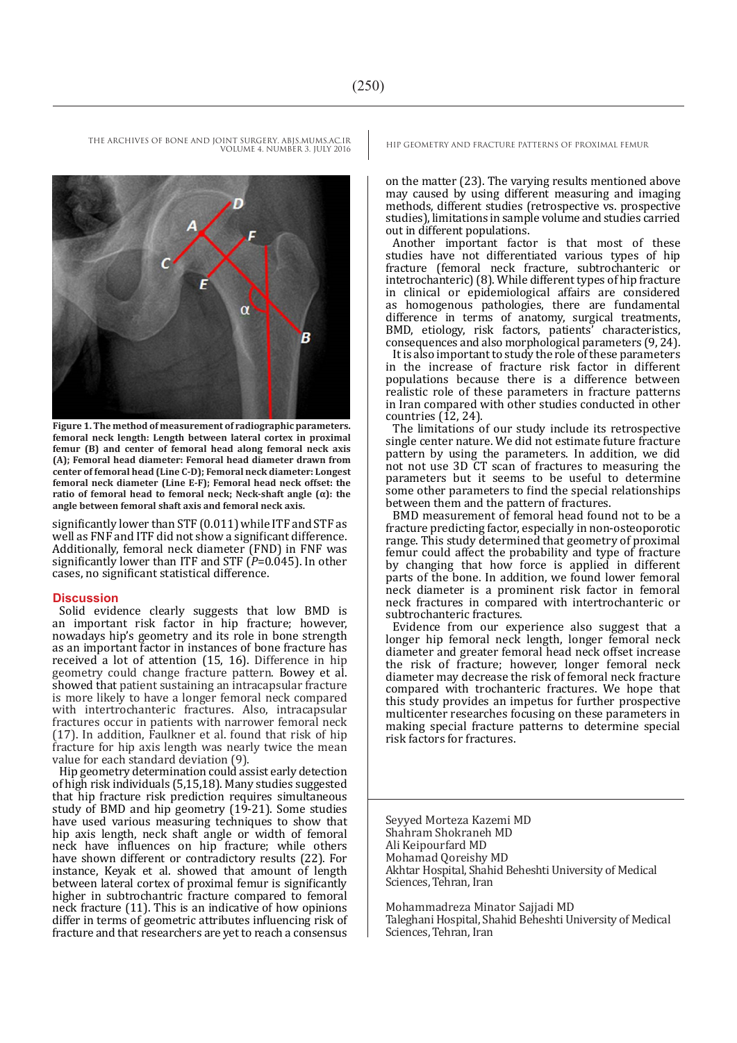VOLUME 4. NUMBER 3. JULY 2016

Ε  $\alpha$ B

**Figure 1. The method of measurement of radiographic parameters. femoral neck length: Length between lateral cortex in proximal femur (B) and center of femoral head along femoral neck axis (A); Femoral head diameter: Femoral head diameter drawn from center of femoral head (Line C-D); Femoral neck diameter: Longest femoral neck diameter (Line E-F); Femoral head neck offset: the ratio of femoral head to femoral neck; Neck-shaft angle (α): the angle between femoral shaft axis and femoral neck axis.**

significantly lower than STF (0.011) while ITF and STF as well as FNF and ITF did not show a significant difference. Additionally, femoral neck diameter (FND) in FNF was significantly lower than ITF and STF (*P*=0.045). In other cases, no significant statistical difference.

#### **Discussion**

Solid evidence clearly suggests that low BMD is an important risk factor in hip fracture; however, nowadays hip's geometry and its role in bone strength as an important factor in instances of bone fracture has received a lot of attention (15, 16). Difference in hip geometry could change fracture pattern. Bowey et al. showed that patient sustaining an intracapsular fracture is more likely to have a longer femoral neck compared with intertrochanteric fractures. Also, intracapsular fractures occur in patients with narrower femoral neck (17). In addition, Faulkner et al. found that risk of hip fracture for hip axis length was nearly twice the mean value for each standard deviation (9).

Hip geometry determination could assist early detection of high risk individuals (5,15,18). Many studies suggested that hip fracture risk prediction requires simultaneous study of BMD and hip geometry (19-21). Some studies have used various measuring techniques to show that hip axis length, neck shaft angle or width of femoral neck have influences on hip fracture; while others have shown different or contradictory results (22). For instance, Keyak et al. showed that amount of length between lateral cortex of proximal femur is significantly higher in subtrochantric fracture compared to femoral neck fracture (11). This is an indicative of how opinions differ in terms of geometric attributes influencing risk of fracture and that researchers are yet to reach a consensus

THE ARCHIVES OF BONE AND JOINT SURGERY. ABJS.MUMS.AC.IR HIP GEOMETRY AND FRACTURE PATTERNS OF PROXIMAL FEMUR

on the matter (23). The varying results mentioned above may caused by using different measuring and imaging methods, different studies (retrospective vs. prospective studies), limitations in sample volume and studies carried out in different populations.

Another important factor is that most of these studies have not differentiated various types of hip fracture (femoral neck fracture, subtrochanteric or intetrochanteric) (8). While different types of hip fracture in clinical or epidemiological affairs are considered as homogenous pathologies, there are fundamental difference in terms of anatomy, surgical treatments, BMD, etiology, risk factors, patients' characteristics, consequences and also morphological parameters (9, 24).

It is also important to study the role of these parameters in the increase of fracture risk factor in different populations because there is a difference between realistic role of these parameters in fracture patterns in Iran compared with other studies conducted in other countries  $(12, 24)$ .

The limitations of our study include its retrospective single center nature. We did not estimate future fracture pattern by using the parameters. In addition, we did not not use 3D CT scan of fractures to measuring the parameters but it seems to be useful to determine some other parameters to find the special relationships between them and the pattern of fractures.

BMD measurement of femoral head found not to be a fracture predicting factor, especially in non-osteoporotic range. This study determined that geometry of proximal femur could affect the probability and type of fracture by changing that how force is applied in different parts of the bone. In addition, we found lower femoral neck diameter is a prominent risk factor in femoral neck fractures in compared with intertrochanteric or subtrochanteric fractures.

Evidence from our experience also suggest that a longer hip femoral neck length, longer femoral neck diameter and greater femoral head neck offset increase the risk of fracture; however, longer femoral neck diameter may decrease the risk of femoral neck fracture compared with trochanteric fractures. We hope that this study provides an impetus for further prospective multicenter researches focusing on these parameters in making special fracture patterns to determine special risk factors for fractures.

Seyyed Morteza Kazemi MD Shahram Shokraneh MD Ali Keipourfard MD Mohamad Qoreishy MD Akhtar Hospital, Shahid Beheshti University of Medical Sciences, Tehran, Iran

Mohammadreza Minator Sajjadi MD Taleghani Hospital, Shahid Beheshti University of Medical Sciences, Tehran, Iran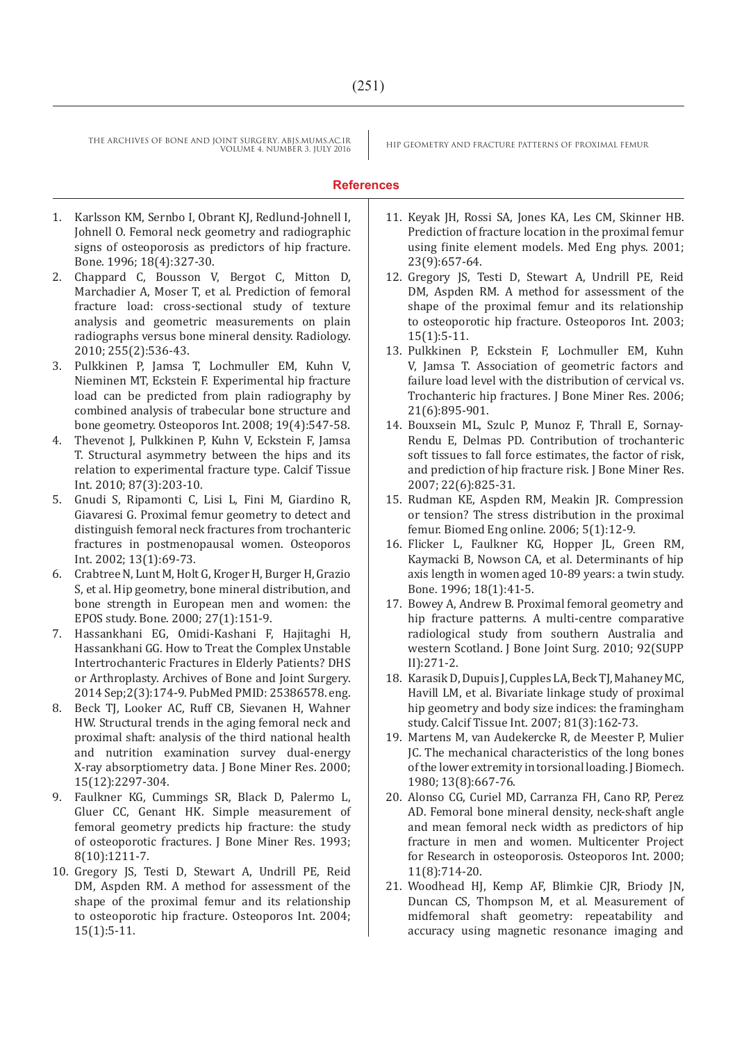THE ARCHIVES OF BONE AND JOINT SURGERY. ABJS.MUMS.AC.IR HIP GEOMETRY AND FRACTURE PATTERNS OF PROXIMAL FEMUR VOLUME 4. NUMBER 3. JULY 2016

### **References**

- 1. Karlsson KM, Sernbo I, Obrant KJ, Redlund-Johnell I, Johnell O. Femoral neck geometry and radiographic signs of osteoporosis as predictors of hip fracture. Bone. 1996; 18(4):327-30.
- 2. Chappard C, Bousson V, Bergot C, Mitton D, Marchadier A, Moser T, et al. Prediction of femoral fracture load: cross-sectional study of texture analysis and geometric measurements on plain radiographs versus bone mineral density. Radiology. 2010; 255(2):536-43.
- 3. Pulkkinen P, Jamsa T, Lochmuller EM, Kuhn V, Nieminen MT, Eckstein F. Experimental hip fracture load can be predicted from plain radiography by combined analysis of trabecular bone structure and bone geometry. Osteoporos Int. 2008; 19(4):547-58.
- 4. Thevenot J, Pulkkinen P, Kuhn V, Eckstein F, Jamsa T. Structural asymmetry between the hips and its relation to experimental fracture type. Calcif Tissue Int. 2010; 87(3):203-10.
- 5. Gnudi S, Ripamonti C, Lisi L, Fini M, Giardino R, Giavaresi G. Proximal femur geometry to detect and distinguish femoral neck fractures from trochanteric fractures in postmenopausal women. Osteoporos Int. 2002; 13(1):69-73.
- 6. Crabtree N, Lunt M, Holt G, Kroger H, Burger H, Grazio S, et al. Hip geometry, bone mineral distribution, and bone strength in European men and women: the EPOS study. Bone. 2000; 27(1):151-9.
- 7. Hassankhani EG, Omidi-Kashani F, Hajitaghi H, Hassankhani GG. How to Treat the Complex Unstable Intertrochanteric Fractures in Elderly Patients? DHS or Arthroplasty. Archives of Bone and Joint Surgery. 2014 Sep;2(3):174-9. PubMed PMID: 25386578. eng.
- 8. Beck TJ, Looker AC, Ruff CB, Sievanen H, Wahner HW. Structural trends in the aging femoral neck and proximal shaft: analysis of the third national health and nutrition examination survey dual-energy X-ray absorptiometry data. J Bone Miner Res. 2000; 15(12):2297-304.
- 9. Faulkner KG, Cummings SR, Black D, Palermo L, Gluer CC, Genant HK. Simple measurement of femoral geometry predicts hip fracture: the study of osteoporotic fractures. J Bone Miner Res. 1993; 8(10):1211-7.
- 10. Gregory JS, Testi D, Stewart A, Undrill PE, Reid DM, Aspden RM. A method for assessment of the shape of the proximal femur and its relationship to osteoporotic hip fracture. Osteoporos Int. 2004; 15(1):5-11.
- 11. Keyak JH, Rossi SA, Jones KA, Les CM, Skinner HB. Prediction of fracture location in the proximal femur using finite element models. Med Eng phys. 2001; 23(9):657-64.
- 12. Gregory JS, Testi D, Stewart A, Undrill PE, Reid DM, Aspden RM. A method for assessment of the shape of the proximal femur and its relationship to osteoporotic hip fracture. Osteoporos Int. 2003; 15(1):5-11.
- 13. Pulkkinen P, Eckstein F, Lochmuller EM, Kuhn V, Jamsa T. Association of geometric factors and failure load level with the distribution of cervical vs. Trochanteric hip fractures. J Bone Miner Res. 2006; 21(6):895-901.
- 14. Bouxsein ML, Szulc P, Munoz F, Thrall E, Sornay-Rendu E, Delmas PD. Contribution of trochanteric soft tissues to fall force estimates, the factor of risk, and prediction of hip fracture risk. J Bone Miner Res. 2007; 22(6):825-31.
- 15. Rudman KE, Aspden RM, Meakin JR. Compression or tension? The stress distribution in the proximal femur. Biomed Eng online. 2006; 5(1):12-9.
- 16. Flicker L, Faulkner KG, Hopper JL, Green RM, Kaymacki B, Nowson CA, et al. Determinants of hip axis length in women aged 10-89 years: a twin study. Bone. 1996; 18(1):41-5.
- 17. Bowey A, Andrew B. Proximal femoral geometry and hip fracture patterns. A multi-centre comparative radiological study from southern Australia and western Scotland. J Bone Joint Surg. 2010; 92(SUPP II):271-2.
- 18. Karasik D, Dupuis J, Cupples LA, Beck TJ, Mahaney MC, Havill LM, et al. Bivariate linkage study of proximal hip geometry and body size indices: the framingham study. Calcif Tissue Int. 2007; 81(3):162-73.
- 19. Martens M, van Audekercke R, de Meester P, Mulier JC. The mechanical characteristics of the long bones of the lower extremity in torsional loading. J Biomech. 1980; 13(8):667-76.
- 20. Alonso CG, Curiel MD, Carranza FH, Cano RP, Perez AD. Femoral bone mineral density, neck-shaft angle and mean femoral neck width as predictors of hip fracture in men and women. Multicenter Project for Research in osteoporosis. Osteoporos Int. 2000; 11(8):714-20.
- 21. Woodhead HJ, Kemp AF, Blimkie CJR, Briody JN, Duncan CS, Thompson M, et al. Measurement of midfemoral shaft geometry: repeatability and accuracy using magnetic resonance imaging and